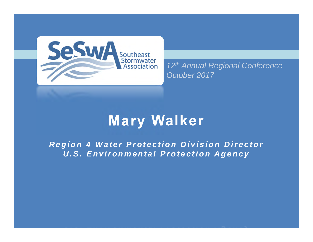

*12th Annual Regional Conference October 2017*

### **Mary Walker**

*Region 4 Water Protection Division Director U.S. Environmental Protection Agency*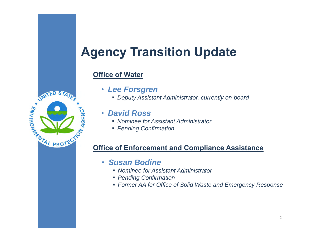### **Agency Transition Update**

#### **Office of Water**



- *Lee Forsgren*
	- *Deputy Assistant Administrator, currently on-board*

#### •*David Ross*

- *Nominee for Assistant Administrator*
- *Pending Confirmation*

#### **Office of Enforcement and Compliance Assistance**

- *Susan Bodine*
	- *Nominee for Assistant Administrator*
	- *Pending Confirmation*
	- *Former AA for Office of Solid Waste and Emergency Response*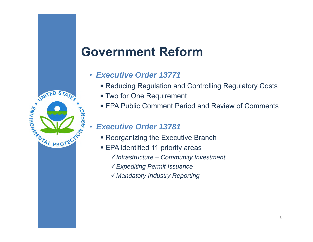#### **Government Reform**

- *Executive Order 13771*
	- Reducing Regulation and Controlling Regulatory Costs
	- Two for One Requirement
	- EPA Public Comment Period and Review of Comments

#### *Executive Order 13781*

•

AGENCY

JNITED ST.

NTAL PROTE

**ENVIRONALS** 

- Reorganizing the Executive Branch
- EPA identified 11 priority areas
	- *Infrastructure – Community Investment*
	- *Expediting Permit Issuance*
	- *Mandatory Industry Reporting*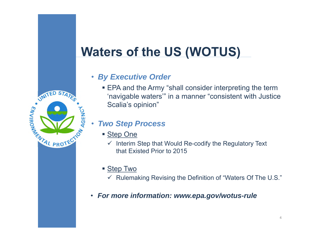### **Waters of the US (WOTUS)**

#### • *By Executive Order*

■ EPA and the Army "shall consider interpreting the term 'navigable waters'" in a manner "consistent with Justice Scalia's opinion"

#### •*Two Step Process*

■ <u>Step One</u>

JNITED STA

WTAL PROTE

AGENC

**ENVIRONAGE** 

- $\checkmark$  Interim Step that Would Re-codify the Regulatory Text that Existed Prior to 2015
- <u>■ Step Two</u>
	- $\checkmark$  Rulemaking Revising the Definition of "Waters Of The U.S."
- *For more information: www.epa.gov/wotus-rule*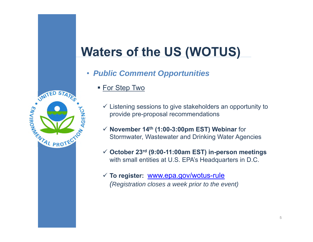### **Waters of the US (WOTUS)**

- *Public Comment Opportunities*
	- <u>■ For Step Two</u>
		- $\checkmark$  Listening sessions to give stakeholders an opportunity to provide pre-proposal recommendations
		- **November 14th (1:00-3:00pm EST) Webinar** for Stormwater, Wastewater and Drinking Water Agencies
		- **October 23rd (9:00-11:00am EST) in-person meetings**  with small entities at U.S. EPA's Headquarters in D.C.
		- **To register:** www.epa.gov/wotus-rule *(Registration closes a week prior to the event)*

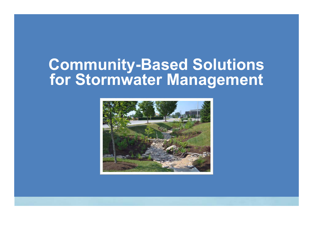## **Community-Based Solutions for Stormwater Management**

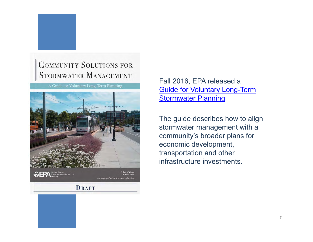#### **COMMUNITY SOLUTIONS FOR** STORMWATER MANAGEMENT

A Guide for Voluntary Long-Term Planning



#### Fall 2016, EPA released a Guide for Voluntary Long-Term **Stormwater Planning**

The guide describes how to align stormwater management with a community's broader plans for economic development, transportation and other infrastructure investments.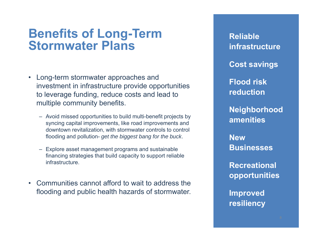#### **Benefits of Long-Term Stormwater Plans**

- Long-term stormwater approaches and investment in infrastructure provide opportunities to leverage funding, reduce costs and lead to multiple community benefits.
	- Avoid missed opportunities to build multi-benefit projects by syncing capital improvements, like road improvements and downtown revitalization, with stormwater controls to control flooding and pollution- *get the biggest bang for the buck*.
	- Explore asset management programs and sustainable financing strategies that build capacity to support reliable infrastructure.
- Communities cannot afford to wait to address the flooding and public health hazards of stormwater.

**Reliable infrastructureCost savings Flood risk reduction Neighborhood amenities New BusinessesRecreational opportunities**

**Improved** 

**resiliency**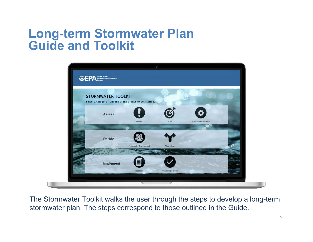#### **Long-term Stormwater Plan Guide and Toolkit**



The Stormwater Toolkit walks the user through the steps to develop a long-term stormwater plan. The steps correspond to those outlined in the Guide.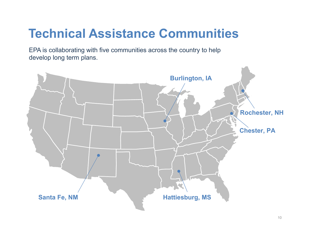### **Technical Assistance Communities**

EPA is collaborating with five communities across the country to help develop long term plans.

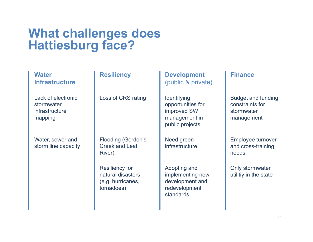# **What challenges does Hattiesburg face?**

| <b>Water</b><br><b>Infrastructure</b>                         | <b>Resiliency</b>                                                             | <b>Development</b><br>(public & private)                                            | <b>Finance</b>                                                           |
|---------------------------------------------------------------|-------------------------------------------------------------------------------|-------------------------------------------------------------------------------------|--------------------------------------------------------------------------|
| Lack of electronic<br>stormwater<br>infrastructure<br>mapping | Loss of CRS rating                                                            | Identifying<br>opportunities for<br>improved SW<br>management in<br>public projects | <b>Budget and funding</b><br>constraints for<br>stormwater<br>management |
| Water, sewer and<br>storm line capacity                       | <b>Flooding (Gordon's</b><br><b>Creek and Leaf</b><br>River)                  | Need green<br>infrastructure                                                        | Employee turnover<br>and cross-training<br>needs                         |
|                                                               | <b>Resiliency for</b><br>natural disasters<br>(e.g. hurricanes,<br>tornadoes) | Adopting and<br>implementing new<br>development and<br>redevelopment<br>standards   | Only stormwater<br>utilitiy in the state                                 |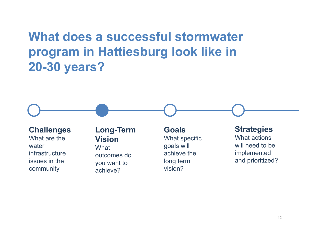### **What does a successful stormwater program in Hattiesburg look like in 20-30 years?**



infrastructure issues in the community

outcomes do you want to achieve?

achieve the long term vision?

implemented and prioritized?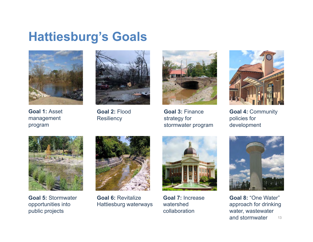#### **Hattiesburg's Goals**



**Goal 1:** Asset management

program



**Goal 2:** Flood **Resiliency** 



**Goal 3:** Finance strategy for stormwater program



**Goal 4:** Community policies for development



**Goal 5:** Stormwater opportunities into public projects



**Goal 6:** Revitalize Hattiesburg waterways



**Goal 7:** Increase watershed collaboration



**Goal 8:** "One Water" approach for drinking water, wastewater and stormwater13